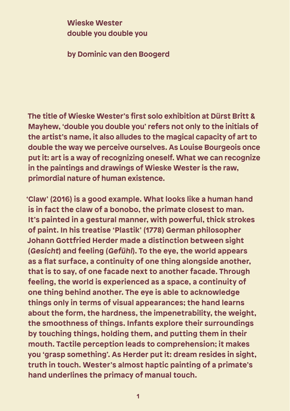**Wieske Wester double you double you**

**by Dominic van den Boogerd**

**The title of Wieske Wester's first solo exhibition at Dürst Britt & Mayhew, 'double you double you' refers not only to the initials of the artist's name, it also alludes to the magical capacity of art to double the way we perceive ourselves. As Louise Bourgeois once put it: art is a way of recognizing oneself. What we can recognize in the paintings and drawings of Wieske Wester is the raw, primordial nature of human existence.** 

**'Claw' (2016) is a good example. What looks like a human hand is in fact the claw of a bonobo, the primate closest to man. It's painted in a gestural manner, with powerful, thick strokes of paint. In his treatise 'Plastik' (1778) German philosopher Johann Gottfried Herder made a distinction between sight (Gesicht) and feeling (Gefühl). To the eye, the world appears as a flat surface, a continuity of one thing alongside another, that is to say, of one facade next to another facade. Through feeling, the world is experienced as a space, a continuity of one thing behind another. The eye is able to acknowledge things only in terms of visual appearances; the hand learns about the form, the hardness, the impenetrability, the weight, the smoothness of things. Infants explore their surroundings by touching things, holding them, and putting them in their mouth. Tactile perception leads to comprehension; it makes you 'grasp something'. As Herder put it: dream resides in sight, truth in touch. Wester's almost haptic painting of a primate's hand underlines the primacy of manual touch.**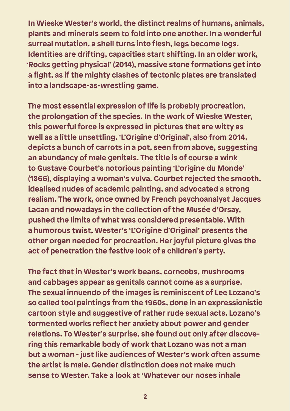**In Wieske Wester's world, the distinct realms of humans, animals, plants and minerals seem to fold into one another. In a wonderful surreal mutation, a shell turns into flesh, legs become logs. Identities are drifting, capacities start shifting. In an older work, 'Rocks getting physical' (2014), massive stone formations get into a fight, as if the mighty clashes of tectonic plates are translated into a landscape-as-wrestling game.** 

**The most essential expression of life is probably procreation, the prolongation of the species. In the work of Wieske Wester, this powerful force is expressed in pictures that are witty as well as a little unsettling. 'L'Origine d'Original', also from 2014, depicts a bunch of carrots in a pot, seen from above, suggesting an abundancy of male genitals. The title is of course a wink to Gustave Courbet's notorious painting 'L'origine du Monde' (1866), displaying a woman's vulva. Courbet rejected the smooth, idealised nudes of academic painting, and advocated a strong realism. The work, once owned by French psychoanalyst Jacques Lacan and nowadays in the collection of the Musée d'Orsay, pushed the limits of what was considered presentable. With a humorous twist, Wester's 'L'Origine d'Original' presents the other organ needed for procreation. Her joyful picture gives the act of penetration the festive look of a children's party.** 

**The fact that in Wester's work beans, corncobs, mushrooms and cabbages appear as genitals cannot come as a surprise. The sexual innuendo of the images is reminiscent of Lee Lozano's so called tool paintings from the 1960s, done in an expressionistic cartoon style and suggestive of rather rude sexual acts. Lozano's tormented works reflect her anxiety about power and gender relations. To Wester's surprise, she found out only after discovering this remarkable body of work that Lozano was not a man but a woman - just like audiences of Wester's work often assume the artist is male. Gender distinction does not make much sense to Wester. Take a look at 'Whatever our noses inhale**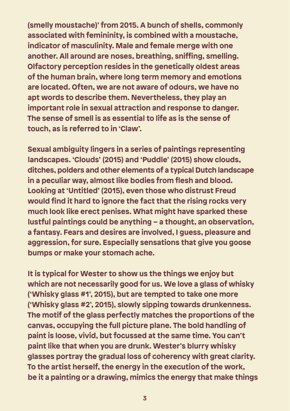**(smelly moustache)' from 2015. A bunch of shells, commonly associated with femininity, is combined with a moustache, indicator of masculinity. Male and female merge with one another. All around are noses, breathing, sniffing, smelling. Olfactory perception resides in the genetically oldest areas of the human brain, where long term memory and emotions are located. Often, we are not aware of odours, we have no apt words to describe them. Nevertheless, they play an important role in sexual attraction and response to danger. The sense of smell is as essential to life as is the sense of touch, as is referred to in 'Claw'.** 

**Sexual ambiguity lingers in a series of paintings representing landscapes. 'Clouds' (2015) and 'Puddle' (2015) show clouds, ditches, polders and other elements of a typical Dutch landscape in a peculiar way, almost like bodies from flesh and blood. Looking at 'Untitled' (2015), even those who distrust Freud would find it hard to ignore the fact that the rising rocks very much look like erect penises. What might have sparked these lustful paintings could be anything – a thought, an observation, a fantasy. Fears and desires are involved, I guess, pleasure and aggression, for sure. Especially sensations that give you goose bumps or make your stomach ache.**

**It is typical for Wester to show us the things we enjoy but which are not necessarily good for us. We love a glass of whisky ('Whisky glass #1', 2015), but are tempted to take one more ('Whisky glass #2', 2015), slowly sipping towards drunkenness. The motif of the glass perfectly matches the proportions of the canvas, occupying the full picture plane. The bold handling of paint is loose, vivid, but focussed at the same time. You can't paint like that when you are drunk. Wester's blurry whisky glasses portray the gradual loss of coherency with great clarity. To the artist herself, the energy in the execution of the work, be it a painting or a drawing, mimics the energy that make things**